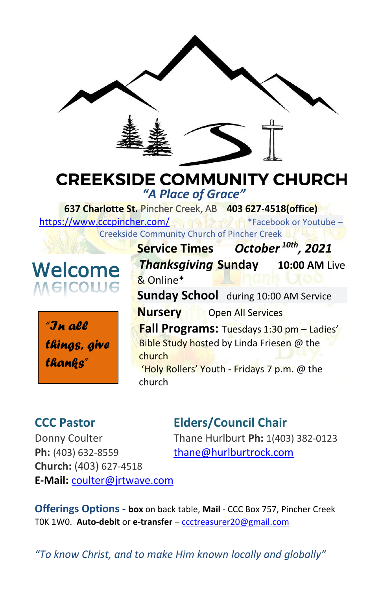



**Sunday School** during 10:00 AM Service **Nursery** Open All Services **Fall Programs:** Tuesdays 1:30 pm – Ladies' Bible Study hosted by Linda Friesen @ the church 'Holy Rollers' Youth - Fridays 7 p.m. @ the church

# **CCC Pastor Elders/Council Chair**

**Ph:** (403) 632-8559 [thane@hurlburtrock.com](mailto:thane@hurlburtrock.com) **Church:** (403) 627-4518 **E-Mail:** [coulter@jrtwave.com](mailto:coulter@jrtwave.com)

Donny Coulter Thane Hurlburt **Ph:** 1(403) 382-0123

**Offerings Options - box** on back table, **Mail** - CCC Box 757, Pincher Creek T0K 1W0. **Auto-debit** or **e-transfer** – [ccctreasurer20@gmail.com](mailto:ccctreasurer20@gmail.com)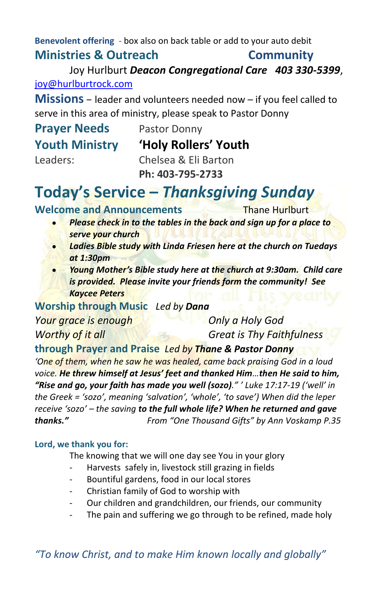**Benevolent offering** - box also on back table or add to your auto debit **Ministries & Outreach Community**

Joy Hurlburt *Deacon Congregational Care 403 330-5399*, [joy@hurlburtrock.com](mailto:joy@hurlburtrock.com)

**Missions** – leader and volunteers needed now – if you feel called to serve in this area of ministry, please speak to Pastor Donny

| <b>Prayer Needs</b>   | Pastor Donny         |
|-----------------------|----------------------|
| <b>Youth Ministry</b> | 'Holy Rollers' Youth |
| Leaders:              | Chelsea & Eli Barton |
|                       | Ph: 403-795-2733     |

# **Today's Service –** *Thanksgiving Sunday*

**Welcome and Announcements** Thane Hurlburt

- *Please check in to the tables in the back and sign up for a place to serve your church*
- *Ladies Bible study with Linda Friesen here at the church on Tuedays at 1:30pm*
- *Young Mother's Bible study here at the church at 9:30am. Child care is provided. Please invite your friends form the community! See Kaycee Peters*

**Worship through Music** *Led by Dana*

*Your grace is enough Only a Holy God*

*Worthy of it all Great is Thy Faithfulness*

### **through Prayer and Praise** *Led by Thane & Pastor Donny*

*'One of them, when he saw he was healed, came back praising God in a loud voice. He threw himself at Jesus' feet and thanked Him…then He said to him, "Rise and go, your faith has made you well (sozo)." ' Luke 17:17-19 ('well' in the Greek = 'sozo', meaning 'salvation', 'whole', 'to save') When did the leper receive 'sozo' – the saving to the full whole life? When he returned and gave thanks." From "One Thousand Gifts" by Ann Voskamp P.35*

#### **Lord, we thank you for:**

The knowing that we will one day see You in your glory

- Harvests safely in, livestock still grazing in fields
- Bountiful gardens, food in our local stores
- Christian family of God to worship with
- Our children and grandchildren, our friends, our community
- The pain and suffering we go through to be refined, made holy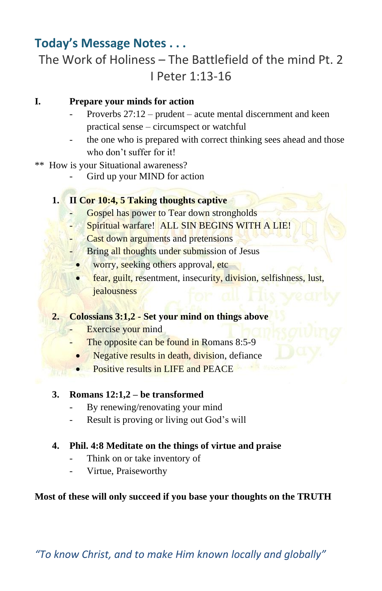## **Today's Message Notes . . .**

# The Work of Holiness – The Battlefield of the mind Pt. 2 I Peter 1:13-16

#### **I. Prepare your minds for action**

- Proverbs 27:12 prudent acute mental discernment and keen practical sense – circumspect or watchful
- the one who is prepared with correct thinking sees ahead and those who don't suffer for it!
- \*\* How is your Situational awareness?
	- Gird up your MIND for action

#### **1. II Cor 10:4, 5 Taking thoughts captive**

- Gospel has power to Tear down strongholds
- Spiritual warfare! ALL SIN BEGINS WITH A LIE!
- Cast down arguments and pretensions
- Bring all thoughts under submission of Jesus
- worry, seeking others approval, etc.
- fear, guilt, resentment, insecurity, division, selfishness, lust, jealousness

#### **2. Colossians 3:1,2 - Set your mind on things above**

- Exercise your mind
- The opposite can be found in Romans 8:5-9
- Negative results in death, division, defiance
- Positive results in LIFE and PEACE

#### **3. Romans 12:1,2 – be transformed**

- By renewing/renovating your mind
- Result is proving or living out God's will

#### **4. Phil. 4:8 Meditate on the things of virtue and praise**

- Think on or take inventory of
- Virtue, Praiseworthy

#### **Most of these will only succeed if you base your thoughts on the TRUTH**